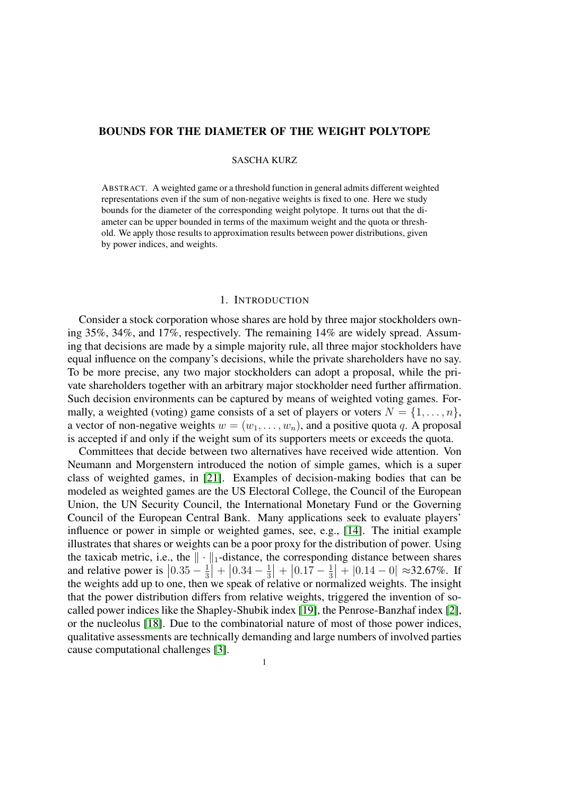# BOUNDS FOR THE DIAMETER OF THE WEIGHT POLYTOPE

# SASCHA KURZ

ABSTRACT. A weighted game or a threshold function in general admits different weighted representations even if the sum of non-negative weights is fixed to one. Here we study bounds for the diameter of the corresponding weight polytope. It turns out that the diameter can be upper bounded in terms of the maximum weight and the quota or threshold. We apply those results to approximation results between power distributions, given by power indices, and weights.

## 1. INTRODUCTION

Consider a stock corporation whose shares are hold by three major stockholders owning 35%, 34%, and 17%, respectively. The remaining 14% are widely spread. Assuming that decisions are made by a simple majority rule, all three major stockholders have equal influence on the company's decisions, while the private shareholders have no say. To be more precise, any two major stockholders can adopt a proposal, while the private shareholders together with an arbitrary major stockholder need further affirmation. Such decision environments can be captured by means of weighted voting games. Formally, a weighted (voting) game consists of a set of players or voters  $N = \{1, \ldots, n\}$ , a vector of non-negative weights  $w = (w_1, \ldots, w_n)$ , and a positive quota q. A proposal is accepted if and only if the weight sum of its supporters meets or exceeds the quota.

Committees that decide between two alternatives have received wide attention. Von Neumann and Morgenstern introduced the notion of simple games, which is a super class of weighted games, in [\[21\]](#page-15-0). Examples of decision-making bodies that can be modeled as weighted games are the US Electoral College, the Council of the European Union, the UN Security Council, the International Monetary Fund or the Governing Council of the European Central Bank. Many applications seek to evaluate players' influence or power in simple or weighted games, see, e.g., [\[14\]](#page-15-1). The initial example illustrates that shares or weights can be a poor proxy for the distribution of power. Using the taxicab metric, i.e., the  $\|\cdot\|_1$ -distance, the corresponding distance between shares and relative power is  $\left|0.35 - \frac{1}{3}\right|$  $\frac{1}{3}$  +  $\left| 0.34 - \frac{1}{3} \right|$  $\frac{1}{3}$  +  $\left| 0.17 - \frac{1}{3} \right|$  $\frac{1}{3}$  +  $|0.14 - 0| \approx 32.67\%$ . If the weights add up to one, then we speak of relative or normalized weights. The insight that the power distribution differs from relative weights, triggered the invention of socalled power indices like the Shapley-Shubik index [\[19\]](#page-15-2), the Penrose-Banzhaf index [\[2\]](#page-14-0), or the nucleolus [\[18\]](#page-15-3). Due to the combinatorial nature of most of those power indices, qualitative assessments are technically demanding and large numbers of involved parties cause computational challenges [\[3\]](#page-14-1).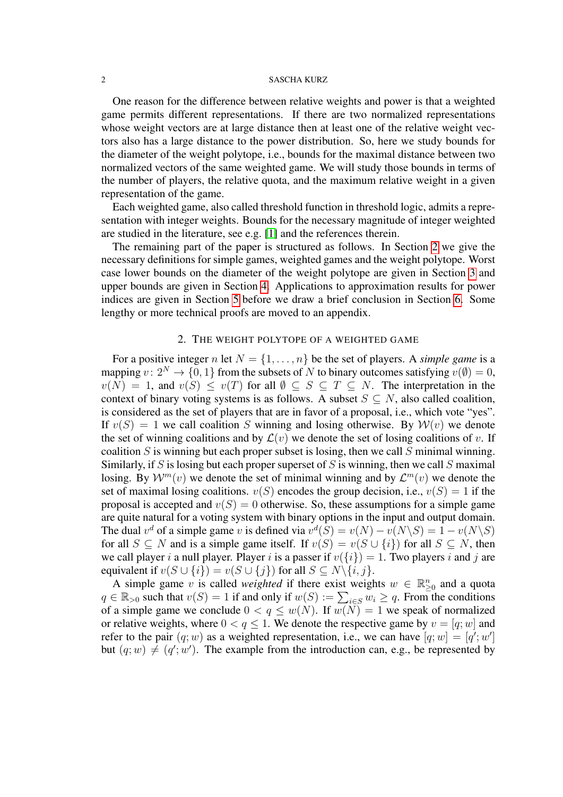One reason for the difference between relative weights and power is that a weighted game permits different representations. If there are two normalized representations whose weight vectors are at large distance then at least one of the relative weight vectors also has a large distance to the power distribution. So, here we study bounds for the diameter of the weight polytope, i.e., bounds for the maximal distance between two normalized vectors of the same weighted game. We will study those bounds in terms of the number of players, the relative quota, and the maximum relative weight in a given representation of the game.

Each weighted game, also called threshold function in threshold logic, admits a representation with integer weights. Bounds for the necessary magnitude of integer weighted are studied in the literature, see e.g. [\[1\]](#page-14-2) and the references therein.

The remaining part of the paper is structured as follows. In Section [2](#page-1-0) we give the necessary definitions for simple games, weighted games and the weight polytope. Worst case lower bounds on the diameter of the weight polytope are given in Section [3](#page-4-0) and upper bounds are given in Section [4.](#page-8-0) Applications to approximation results for power indices are given in Section [5](#page-10-0) before we draw a brief conclusion in Section [6.](#page-11-0) Some lengthy or more technical proofs are moved to an appendix.

# 2. THE WEIGHT POLYTOPE OF A WEIGHTED GAME

<span id="page-1-0"></span>For a positive integer n let  $N = \{1, \ldots, n\}$  be the set of players. A *simple game* is a mapping  $v: 2^N \to \{0, 1\}$  from the subsets of N to binary outcomes satisfying  $v(\emptyset) = 0$ ,  $v(N) = 1$ , and  $v(S) \le v(T)$  for all  $\emptyset \subseteq S \subseteq T \subseteq N$ . The interpretation in the context of binary voting systems is as follows. A subset  $S \subseteq N$ , also called coalition, is considered as the set of players that are in favor of a proposal, i.e., which vote "yes". If  $v(S) = 1$  we call coalition S winning and losing otherwise. By  $\mathcal{W}(v)$  we denote the set of winning coalitions and by  $\mathcal{L}(v)$  we denote the set of losing coalitions of v. If coalition  $S$  is winning but each proper subset is losing, then we call  $S$  minimal winning. Similarly, if S is losing but each proper superset of S is winning, then we call S maximal losing. By  $\mathcal{W}^m(v)$  we denote the set of minimal winning and by  $\mathcal{L}^m(v)$  we denote the set of maximal losing coalitions.  $v(S)$  encodes the group decision, i.e.,  $v(S) = 1$  if the proposal is accepted and  $v(S) = 0$  otherwise. So, these assumptions for a simple game are quite natural for a voting system with binary options in the input and output domain. The dual  $v^d$  of a simple game v is defined via  $v^d(S) = v(N) - v(N \setminus S) = 1 - v(N \setminus S)$ for all  $S \subseteq N$  and is a simple game itself. If  $v(S) = v(S \cup \{i\})$  for all  $S \subseteq N$ , then we call player i a null player. Player i is a passer if  $v({i}) = 1$ . Two players i and j are equivalent if  $v(S \cup \{i\}) = v(S \cup \{j\})$  for all  $S \subseteq N \setminus \{i, j\}.$ 

A simple game v is called *weighted* if there exist weights  $w \in \mathbb{R}_{\geq 0}^n$  and a quota  $q \in \mathbb{R}_{>0}$  such that  $v(S) = 1$  if and only if  $w(S) := \sum_{i \in S} w_i \ge q$ . From the conditions of a simple game we conclude  $0 < q \leq w(N)$ . If  $w(N) = 1$  we speak of normalized or relative weights, where  $0 < q \leq 1$ . We denote the respective game by  $v = [q; w]$  and refer to the pair  $(q; w)$  as a weighted representation, i.e., we can have  $[q; w] = [q'; w']$ but  $(q; w) \neq (q'; w')$ . The example from the introduction can, e.g., be represented by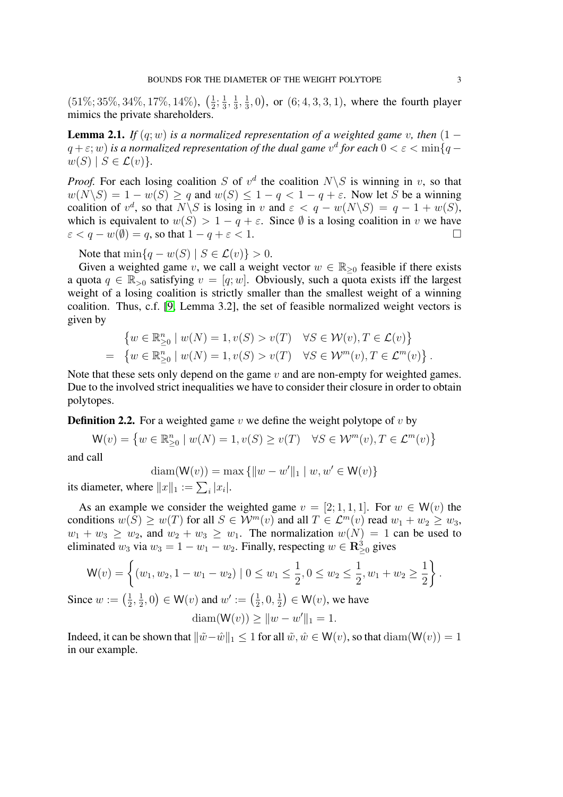$(51\%;35\%,34\%,17\%,14\%),\;(\frac{1}{2})$  $\frac{1}{2}$ ;  $\frac{1}{3}$  $\frac{1}{3}, \frac{1}{3}$  $\frac{1}{3}, \frac{1}{3}$  $(\frac{1}{3}, 0)$ , or  $(6, 4, 3, 3, 1)$ , where the fourth player mimics the private shareholders.

<span id="page-2-1"></span>**Lemma 2.1.** *If*  $(q; w)$  *is a normalized representation of a weighted game v, then*  $(1$  $q+\varepsilon;w)$  is a normalized representation of the dual game  $v^d$  for each  $0<\varepsilon<\min\{q-\varepsilon\}$  $w(S)$  |  $S \in \mathcal{L}(v)$  }.

*Proof.* For each losing coalition S of  $v^d$  the coalition  $N\setminus S$  is winning in v, so that  $w(N\setminus S) = 1 - w(S) \ge q$  and  $w(S) \le 1 - q < 1 - q + \varepsilon$ . Now let S be a winning coalition of  $v^d$ , so that  $N\backslash S$  is losing in v and  $\varepsilon < q - w(N\backslash S) = q - 1 + w(S)$ , which is equivalent to  $w(S) > 1 - q + \varepsilon$ . Since  $\emptyset$  is a losing coalition in v we have  $\varepsilon < q - w(\emptyset) = q$ , so that  $1 - q + \varepsilon < 1$ .

Note that  $\min\{q - w(S) \mid S \in \mathcal{L}(v)\} > 0$ .

Given a weighted game v, we call a weight vector  $w \in \mathbb{R}_{\geq 0}$  feasible if there exists a quota  $q \in \mathbb{R}_{>0}$  satisfying  $v = [q; w]$ . Obviously, such a quota exists iff the largest weight of a losing coalition is strictly smaller than the smallest weight of a winning coalition. Thus, c.f. [\[9,](#page-14-3) Lemma 3.2], the set of feasible normalized weight vectors is given by

$$
\begin{aligned}\n\left\{ w \in \mathbb{R}_{\geq 0}^n \mid w(N) = 1, v(S) > v(T) &\forall S \in \mathcal{W}(v), T \in \mathcal{L}(v) \right\} \\
= \left\{ w \in \mathbb{R}_{\geq 0}^n \mid w(N) = 1, v(S) > v(T) &\forall S \in \mathcal{W}^m(v), T \in \mathcal{L}^m(v) \right\}.\n\end{aligned}
$$

Note that these sets only depend on the game  $v$  and are non-empty for weighted games. Due to the involved strict inequalities we have to consider their closure in order to obtain polytopes.

<span id="page-2-0"></span>**Definition 2.2.** For a weighted game v we define the weight polytope of v by

$$
\mathsf{W}(v) = \left\{ w \in \mathbb{R}^n_{\geq 0} \mid w(N) = 1, v(S) \geq v(T) \quad \forall S \in \mathcal{W}^m(v), T \in \mathcal{L}^m(v) \right\}
$$

and call

$$
diam(W(v)) = max \{ ||w - w'||_1 \mid w, w' \in W(v) \}
$$

its diameter, where  $||x||_1 := \sum_i |x_i|$ .

As an example we consider the weighted game  $v = [2, 1, 1, 1]$ . For  $w \in W(v)$  the conditions  $w(S) \geq w(T)$  for all  $S \in \mathcal{W}^m(v)$  and all  $T \in \mathcal{L}^m(v)$  read  $w_1 + w_2 \geq w_3$ ,  $w_1 + w_3 \geq w_2$ , and  $w_2 + w_3 \geq w_1$ . The normalization  $w(N) = 1$  can be used to eliminated  $w_3$  via  $w_3 = 1 - w_1 - w_2$ . Finally, respecting  $w \in \mathbb{R}^3_{\geq 0}$  gives

$$
\mathsf{W}(v) = \left\{ (w_1, w_2, 1 - w_1 - w_2) \mid 0 \le w_1 \le \frac{1}{2}, 0 \le w_2 \le \frac{1}{2}, w_1 + w_2 \ge \frac{1}{2} \right\}.
$$

Since  $w := \left(\frac{1}{2}\right)$  $\frac{1}{2}, \frac{1}{2}$  $(\frac{1}{2},0) \in \mathsf{W}(v)$  and  $w' := (\frac{1}{2})$  $\frac{1}{2}, 0, \frac{1}{2}$  $(\frac{1}{2}) \in \mathsf{W}(v)$ , we have

$$
diam(W(v)) \ge ||w - w'||_1 = 1.
$$

Indeed, it can be shown that  $\|\tilde{w} - \hat{w}\|_1 \leq 1$  for all  $\tilde{w}, \hat{w} \in W(v)$ , so that  $\text{diam}(W(v)) = 1$ in our example.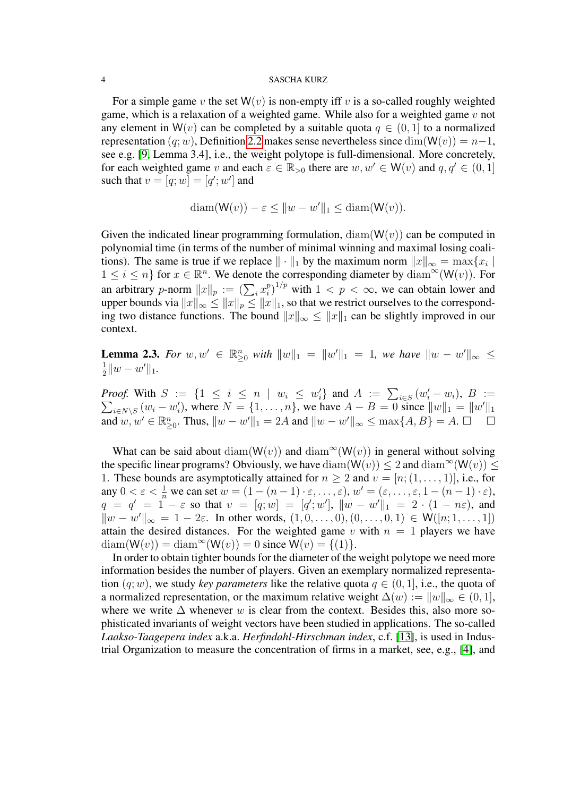For a simple game v the set  $W(v)$  is non-empty iff v is a so-called roughly weighted game, which is a relaxation of a weighted game. While also for a weighted game  $v$  not any element in W(v) can be completed by a suitable quota  $q \in (0, 1]$  to a normalized representation  $(q; w)$ , Definition [2.2](#page-2-0) makes sense nevertheless since  $\dim(W(v)) = n-1$ , see e.g. [\[9,](#page-14-3) Lemma 3.4], i.e., the weight polytope is full-dimensional. More concretely, for each weighted game v and each  $\varepsilon \in \mathbb{R}_{>0}$  there are  $w, w' \in W(v)$  and  $q, q' \in (0, 1]$ such that  $v = [q; w] = [q'; w']$  and

$$
diam(W(v)) - \varepsilon \le ||w - w'||_1 \le diam(W(v)).
$$

Given the indicated linear programming formulation,  $\text{diam}(W(v))$  can be computed in polynomial time (in terms of the number of minimal winning and maximal losing coalitions). The same is true if we replace  $\|\cdot\|_1$  by the maximum norm  $\|x\|_{\infty} = \max\{x_i \mid x_i\|$  $1 \leq i \leq n$  for  $x \in \mathbb{R}^n$ . We denote the corresponding diameter by  $\text{diam}^{\infty}(\mathsf{W}(v))$ . For an arbitrary *p*-norm  $||x||_p := (\sum_i x_i^p)$  $\binom{p}{i}^{1/p}$  with  $1 < p < \infty$ , we can obtain lower and upper bounds via  $||x||_{\infty} \leq ||x||_p \leq ||x||_1$ , so that we restrict ourselves to the corresponding two distance functions. The bound  $||x||_{\infty} \le ||x||_1$  can be slightly improved in our context.

<span id="page-3-0"></span>**Lemma 2.3.** For  $w, w' \in \mathbb{R}_{\geq 0}^n$  with  $||w||_1 = ||w'||_1 = 1$ , we have  $||w - w'||_{\infty} \le$ 1  $\frac{1}{2}||w-w'||_1.$ 

*Proof.* With  $S := \{1 \leq i \leq n \mid w_i \leq w'_i\}$  and  $A := \sum_{i \in S} (w'_i)$  $\sum$  $i'_{i} - w_{i}$ ),  $B :=$  $_{i \in N \setminus S} (w_i - w'_i)$ , where  $N = \{1, ..., n\}$ , we have  $A - B = 0$  since  $||w||_1 = ||w'||_1$ and  $w, w' \in \mathbb{R}_{\geq 0}^n$ . Thus,  $||w - w'||_1 = 2A$  and  $||w - w'||_{\infty} \leq \max\{A, B\} = A$ .  $\Box$ 

What can be said about diam(W(v)) and diam<sup>∞</sup>(W(v)) in general without solving the specific linear programs? Obviously, we have  $\text{diam}(\mathsf{W}(v)) \leq 2$  and  $\text{diam}^{\infty}(\mathsf{W}(v)) \leq 2$ 1. These bounds are asymptotically attained for  $n \geq 2$  and  $v = [n; (1, \ldots, 1)],$  i.e., for any  $0 < \varepsilon < \frac{1}{n}$  we can set  $w = (1 - (n - 1) \cdot \varepsilon, \dots, \varepsilon), w' = (\varepsilon, \dots, \varepsilon, 1 - (n - 1) \cdot \varepsilon),$  $q = q' = 1 - \varepsilon$  so that  $v = [q; w] = [q'; w'], ||w - w'||_1 = 2 \cdot (1 - n\varepsilon)$ , and  $\|w - w'\|_{\infty} = 1 - 2\varepsilon$ . In other words,  $(1, 0, ..., 0), (0, ..., 0, 1) \in W([n; 1, ..., 1])$ attain the desired distances. For the weighted game v with  $n = 1$  players we have  $diam(W(v)) = diam^{\infty}(W(v)) = 0$  since  $W(v) = \{(1)\}.$ 

In order to obtain tighter bounds for the diameter of the weight polytope we need more information besides the number of players. Given an exemplary normalized representation  $(q; w)$ , we study *key parameters* like the relative quota  $q \in (0, 1]$ , i.e., the quota of a normalized representation, or the maximum relative weight  $\Delta(w) := ||w||_{\infty} \in (0, 1],$ where we write  $\Delta$  whenever w is clear from the context. Besides this, also more sophisticated invariants of weight vectors have been studied in applications. The so-called *Laakso-Taagepera index* a.k.a. *Herfindahl-Hirschman index*, c.f. [\[13\]](#page-15-4), is used in Industrial Organization to measure the concentration of firms in a market, see, e.g., [\[4\]](#page-14-4), and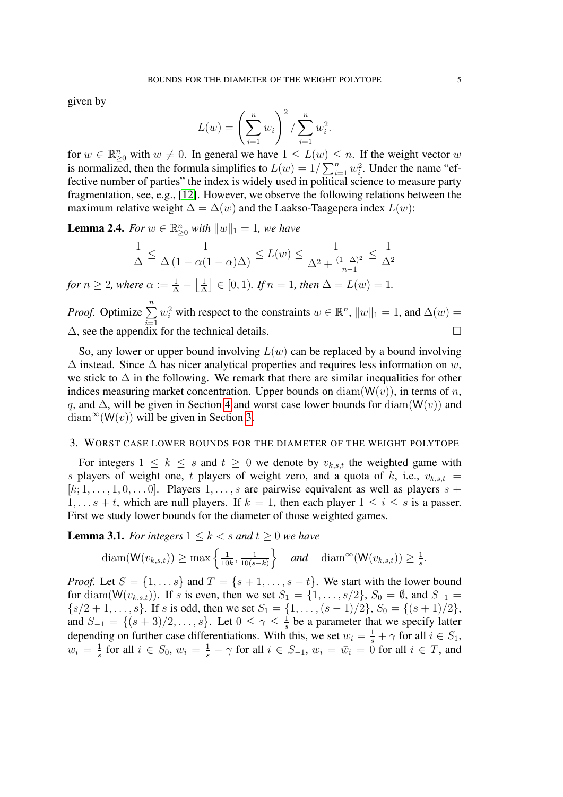given by

$$
L(w) = \left(\sum_{i=1}^{n} w_i\right)^2 / \sum_{i=1}^{n} w_i^2.
$$

for  $w \in \mathbb{R}_{\geq 0}^n$  with  $w \neq 0$ . In general we have  $1 \leq L(w) \leq n$ . If the weight vector w is normalized, then the formula simplifies to  $L(w) = 1/\sum_{i=1}^{n} w_i^2$ . Under the name "effective number of parties" the index is widely used in political science to measure party fragmentation, see, e.g., [\[12\]](#page-15-5). However, we observe the following relations between the maximum relative weight  $\Delta = \Delta(w)$  and the Laakso-Taagepera index  $L(w)$ :

<span id="page-4-2"></span>**Lemma 2.4.** *For*  $w \in \mathbb{R}_{\geq 0}^n$  *with*  $||w||_1 = 1$ *, we have* 

$$
\frac{1}{\Delta} \le \frac{1}{\Delta \left(1 - \alpha(1 - \alpha)\Delta\right)} \le L(w) \le \frac{1}{\Delta^2 + \frac{(1 - \Delta)^2}{n - 1}} \le \frac{1}{\Delta^2}
$$

for  $n \geq 2$ , where  $\alpha := \frac{1}{\Delta} - \left\lfloor \frac{1}{\Delta} \right\rfloor$  $\left[\frac{1}{\Delta}\right] \in [0,1)$ *. If*  $n = 1$ *, then*  $\Delta = L(w) = 1$ *.* 

*Proof.* Optimize  $\sum_{n=1}^{\infty}$  $i=1$  $w_i^2$  with respect to the constraints  $w \in \mathbb{R}^n$ ,  $||w||_1 = 1$ , and  $\Delta(w) =$ ∆, see the appendix for the technical details.

So, any lower or upper bound involving  $L(w)$  can be replaced by a bound involving  $\Delta$  instead. Since  $\Delta$  has nicer analytical properties and requires less information on w, we stick to  $\Delta$  in the following. We remark that there are similar inequalities for other indices measuring market concentration. Upper bounds on  $\text{diam}(W(v))$ , in terms of n, q, and  $\Delta$ , will be given in Section [4](#page-8-0) and worst case lower bounds for diam( $W(v)$ ) and  $\text{diam}^{\infty}(\mathsf{W}(v))$  will be given in Section [3.](#page-4-0)

## <span id="page-4-0"></span>3. WORST CASE LOWER BOUNDS FOR THE DIAMETER OF THE WEIGHT POLYTOPE

For integers  $1 \leq k \leq s$  and  $t \geq 0$  we denote by  $v_{k,s,t}$  the weighted game with s players of weight one, t players of weight zero, and a quota of k, i.e.,  $v_{k,s,t}$  =  $[k; 1, \ldots, 1, 0, \ldots, 0]$ . Players  $1, \ldots, s$  are pairwise equivalent as well as players  $s +$  $1, \ldots s + t$ , which are null players. If  $k = 1$ , then each player  $1 \le i \le s$  is a passer. First we study lower bounds for the diameter of those weighted games.

<span id="page-4-1"></span>**Lemma 3.1.** *For integers*  $1 \leq k \leq s$  *and*  $t \geq 0$  *we have* 

$$
\text{diam}(\mathsf{W}(v_{k,s,t})) \geq \max\left\{\frac{1}{10k}, \frac{1}{10(s-k)}\right\} \quad \text{and} \quad \text{diam}^{\infty}(\mathsf{W}(v_{k,s,t})) \geq \frac{1}{s}.
$$

*Proof.* Let  $S = \{1, \ldots s\}$  and  $T = \{s+1, \ldots, s+t\}$ . We start with the lower bound for diam( $W(v_{k,s,t})$ ). If s is even, then we set  $S_1 = \{1,\ldots,s/2\}$ ,  $S_0 = \emptyset$ , and  $S_{-1} =$  $\{s/2+1,\ldots,s\}$ . If s is odd, then we set  $S_1 = \{1,\ldots,(s-1)/2\}$ ,  $S_0 = \{(s+1)/2\}$ , and  $S_{-1} = \{(s+3)/2, \ldots, s\}$ . Let  $0 \leq \gamma \leq \frac{1}{s}$  $\frac{1}{s}$  be a parameter that we specify latter depending on further case differentiations. With this, we set  $w_i = \frac{1}{s} + \gamma$  for all  $i \in S_1$ ,  $w_i = \frac{1}{s}$  $\frac{1}{s}$  for all  $i \in S_0$ ,  $w_i = \frac{1}{s} - \gamma$  for all  $i \in S_{-1}$ ,  $w_i = \bar{w}_i = 0$  for all  $i \in T$ , and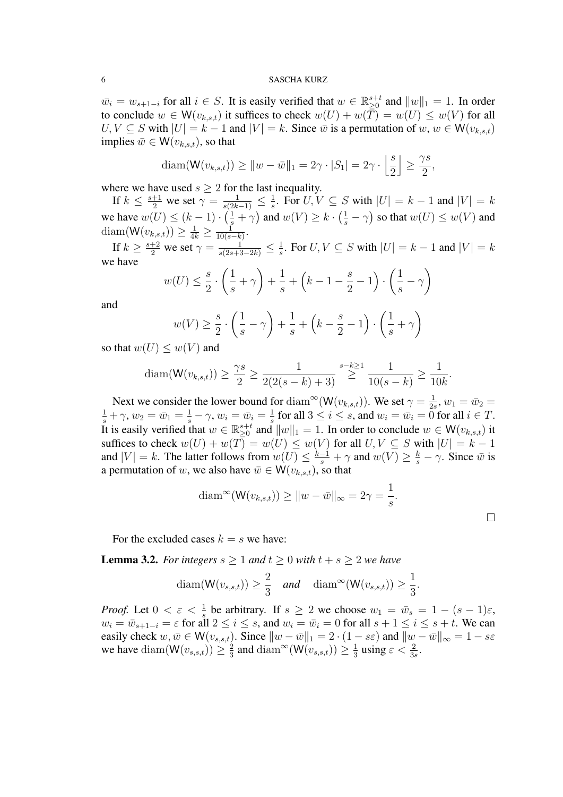$\overline{w}_i = w_{s+1-i}$  for all  $i \in S$ . It is easily verified that  $w \in \mathbb{R}^{s+t}_{\geq 0}$  and  $||w||_1 = 1$ . In order to conclude  $w \in W(v_{k,s,t})$  it suffices to check  $w(U) + w(\overline{T}) = w(U) \leq w(V)$  for all  $U, V \subseteq S$  with  $|U| = k - 1$  and  $|V| = k$ . Since  $\bar{w}$  is a permutation of  $w, w \in W(v_{k,s,t})$ implies  $\bar{w} \in W(v_{k,s,t})$ , so that

$$
\operatorname{diam}(\mathsf{W}(v_{k,s,t})) \ge ||w - \bar{w}||_1 = 2\gamma \cdot |S_1| = 2\gamma \cdot \left\lfloor \frac{s}{2} \right\rfloor \ge \frac{\gamma s}{2},
$$

where we have used  $s \geq 2$  for the last inequality.

If  $k \leq \frac{s+1}{2}$  we set  $\gamma = \frac{1}{s(2k-1)} \leq \frac{1}{s}$  $\frac{1}{s}$ . For  $U, V \subseteq S$  with  $|U| = k - 1$  and  $|V| = k$ we have  $w(U) \leq (k-1) \cdot (\frac{1}{s} + \gamma)$  and  $w(V) \geq k \cdot (\frac{1}{s} - \gamma)$  so that  $w(U) \leq w(V)$  and diam( $W(v_{k,s,t})$ )  $\geq \frac{1}{4k} \geq \frac{1}{10(s)}$  $\frac{1}{10(s-k)}$ 

If  $k \ge \frac{s+2}{2}$  we set  $\gamma = \frac{1}{s(2s+3-2k)} \le \frac{1}{s}$  $\frac{1}{s}$ . For  $U, V \subseteq S$  with  $|U| = k - 1$  and  $|V| = k$ we have

$$
w(U) \le \frac{s}{2} \cdot \left(\frac{1}{s} + \gamma\right) + \frac{1}{s} + \left(k - 1 - \frac{s}{2} - 1\right) \cdot \left(\frac{1}{s} - \gamma\right)
$$

and

$$
w(V) \ge \frac{s}{2} \cdot \left(\frac{1}{s} - \gamma\right) + \frac{1}{s} + \left(k - \frac{s}{2} - 1\right) \cdot \left(\frac{1}{s} + \gamma\right)
$$

so that  $w(U) \leq w(V)$  and

$$
\text{diam}(\mathsf{W}(v_{k,s,t})) \ge \frac{\gamma s}{2} \ge \frac{1}{2(2(s-k)+3)} \sum_{s-k \ge 1}^{s-k \ge 1} \frac{1}{10(s-k)} \ge \frac{1}{10k}.
$$

Next we consider the lower bound for  $\text{diam}^{\infty}(\mathsf{W}(v_{k,s,t}))$ . We set  $\gamma = \frac{1}{2s}$  $\frac{1}{2s}$ ,  $w_1 = \bar{w}_2 =$  $\frac{1}{s} + \gamma$ ,  $w_2 = \bar{w}_1 = \frac{1}{s} - \gamma$ ,  $w_i = \bar{w}_i = \frac{1}{s}$  $\frac{1}{s}$  for all  $3 \leq i \leq s$ , and  $w_i = \bar{w}_i = 0$  for all  $i \in T$ . It is easily verified that  $w \in \mathbb{R}^{s+t}_{\geq 0}$  and  $||w||_1 = 1$ . In order to conclude  $w \in W(v_{k,s,t})$  it suffices to check  $w(U) + w(T) = w(U) \le w(V)$  for all  $U, V \subseteq S$  with  $|U| = k - 1$ and  $|V| = k$ . The latter follows from  $w(U) \leq \frac{k-1}{s} + \gamma$  and  $w(V) \geq \frac{k}{s} - \gamma$ . Since  $\bar{w}$  is a permutation of w, we also have  $\bar{w} \in W(v_{k,s,t})$ , so that

$$
\operatorname{diam}^{\infty}(\mathsf{W}(v_{k,s,t})) \ge ||w - \bar{w}||_{\infty} = 2\gamma = \frac{1}{s}.
$$

For the excluded cases  $k = s$  we have:

<span id="page-5-0"></span>**Lemma 3.2.** *For integers*  $s \geq 1$  *and*  $t \geq 0$  *with*  $t + s \geq 2$  *we have* 

$$
\text{diam}(\mathsf{W}(v_{s,s,t})) \ge \frac{2}{3} \quad \text{and} \quad \text{diam}^{\infty}(\mathsf{W}(v_{s,s,t})) \ge \frac{1}{3}.
$$

*Proof.* Let  $0 < \varepsilon < \frac{1}{s}$  be arbitrary. If  $s \ge 2$  we choose  $w_1 = \bar{w}_s = 1 - (s - 1)\varepsilon$ ,  $w_i = \bar{w}_{s+1-i} = \varepsilon$  for all  $2 \le i \le s$ , and  $w_i = \bar{w}_i = 0$  for all  $s+1 \le i \le s+t$ . We can easily check  $w, \bar{w} \in W(v_{s,s,t})$ . Since  $\|w - \bar{w}\|_1 = 2 \cdot (1 - s\varepsilon)$  and  $\|w - \bar{w}\|_{\infty} = 1 - s\varepsilon$ we have diam( $W(v_{s,s,t}) \geq \frac{2}{3}$  $\frac{2}{3}$  and diam<sup>∞</sup>(W( $v_{s,s,t}$ )) ≥  $\frac{1}{3}$  $\frac{1}{3}$  using  $\varepsilon < \frac{2}{3s}$ .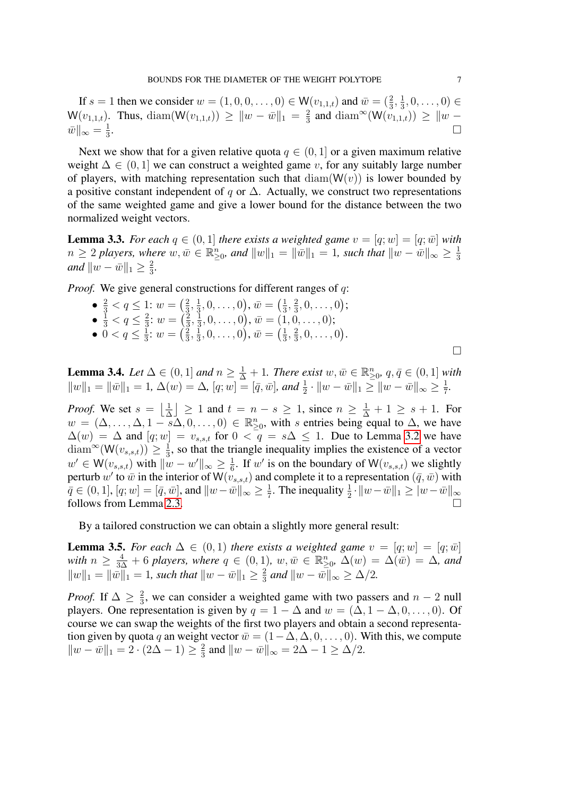If  $s = 1$  then we consider  $w = (1, 0, 0, \dots, 0) \in W(v_{1,1,t})$  and  $\bar{w} = (\frac{2}{3}, \frac{1}{3})$  $(\frac{1}{3}, 0, \ldots, 0) \in$  $\mathsf{W}(v_{1,1,t})$ . Thus, diam $(\mathsf{W}(v_{1,1,t})) \geq \|w - \bar{w}\|_1 = \frac{2}{3}$  $\frac{2}{3}$  and diam<sup>∞</sup>(W( $v_{1,1,t}$ )) ≥  $\|w \bar w\|_\infty=\frac{1}{3}$ 3 .

Next we show that for a given relative quota  $q \in (0, 1]$  or a given maximum relative weight  $\Delta \in (0, 1]$  we can construct a weighted game v, for any suitably large number of players, with matching representation such that  $\text{diam}(W(v))$  is lower bounded by a positive constant independent of q or  $\Delta$ . Actually, we construct two representations of the same weighted game and give a lower bound for the distance between the two normalized weight vectors.

<span id="page-6-1"></span>**Lemma 3.3.** *For each*  $q \in (0,1]$  *there exists a weighted game*  $v = [q; w] = [q; \bar{w}]$  *with*  $n ≥ 2$  players, where  $w, \bar{w} ∈ ℝ_{≥0}^n$ , and  $||w||_1 = ||\bar{w}||_1 = 1$ , such that  $||w - \bar{w}||_{∞} ≥ \frac{1}{3}$ 3 *and*  $||w - \bar{w}||_1 \geq \frac{2}{3}$  $\frac{2}{3}$ .

*Proof.* We give general constructions for different ranges of q:

- $\frac{2}{3} < q \leq 1$ :  $w = \left(\frac{2}{3}\right)$  $\frac{2}{3}, \frac{1}{3}$  $(\frac{1}{3},0,\ldots,0),\bar{w}=(\frac{1}{3})$  $\frac{1}{3}, \frac{2}{3}$  $\frac{2}{3}, 0, \ldots, 0);$  $\bullet~\frac{1}{3} < q \leq \frac{2}{3}$  $rac{2}{3}$ :  $w = \left(\frac{2}{3}\right)$  $\frac{2}{3},\frac{1}{3}$  $(\frac{1}{3},0,\ldots,0),\, \bar{w}=(1,0,\ldots,0);$
- $\bullet~0 < q \leq \frac{1}{3}$  $\frac{1}{3}$ :  $w = \left(\frac{2}{3}\right)$  $\frac{2}{3}, \frac{1}{3}$  $(\frac{1}{3},0,\ldots,0),\, \bar{w}=(\frac{1}{3})$  $\frac{1}{3}, \frac{2}{3}$  $\frac{2}{3}, 0, \ldots, 0$ .

 $\Box$ 

<span id="page-6-0"></span>**Lemma 3.4.** *Let*  $\Delta \in (0,1]$  *and*  $n \geq \frac{1}{\Delta} + 1$ *. There exist*  $w, \bar{w} \in \mathbb{R}^n_{\geq 0}$ *,*  $q, \bar{q} \in (0,1]$  *with*  $||w||_1 = ||\bar{w}||_1 = 1, \Delta(w) = \Delta, [q; w] = [\bar{q}, \bar{w}],$  and  $\frac{1}{2} \cdot ||w - \bar{w}||_1 \ge ||w - \bar{w}||_{\infty} \ge \frac{1}{7}$ 7 *.*

*Proof.* We set  $s = \frac{1}{\lambda}$  $\frac{1}{\Delta}$  > 1 and  $t = n - s \ge 1$ , since  $n \ge \frac{1}{\Delta} + 1 \ge s + 1$ . For  $w = (\Delta, \ldots, \Delta, 1 - s\Delta, 0, \ldots, 0) \in \mathbb{R}_{\geq 0}^n$ , with s entries being equal to  $\Delta$ , we have  $\Delta(w) = \Delta$  and  $[q; w] = v_{s,s,t}$  for  $0 < q = s\Delta \leq 1$ . Due to Lemma [3.2](#page-5-0) we have diam<sup>∞</sup>(W( $v_{s,s,t}$ )) ≥  $\frac{1}{3}$  $\frac{1}{3}$ , so that the triangle inequality implies the existence of a vector  $w' \in \mathsf{W}(v_{s,s,t})$  with  $\|w - w'\|_{\infty} \geq \frac{1}{6}$  $\frac{1}{6}$ . If w' is on the boundary of W $(v_{s,s,t})$  we slightly perturb  $w'$  to  $\bar w$  in the interior of  $\mathsf{W}(v_{s,s,t})$  and complete it to a representation  $(\bar q,\bar w)$  with  $\bar{q} \in (0,1], [q; w] = [\bar{q}, \bar{w}],$  and  $\|w - \bar{w}\|_{\infty} \geq \frac{1}{7}$  $\frac{1}{7}$ . The inequality  $\frac{1}{2} \cdot ||w - \bar{w}||_1 \geq ||w - \bar{w}||_{\infty}$ follows from Lemma [2.3.](#page-3-0)

By a tailored construction we can obtain a slightly more general result:

<span id="page-6-2"></span>**Lemma 3.5.** *For each*  $\Delta \in (0,1)$  *there exists a weighted game*  $v = [q; w] = [q; \bar{w}]$ with  $n \geq \frac{4}{3\Delta} + 6$  players, where  $q \in (0,1)$ ,  $w, \bar{w} \in \mathbb{R}_{\geq 0}^n$ ,  $\Delta(w) = \Delta(\bar{w}) = \Delta$ , and  $||w||_1 = ||\bar{w}||_1 = 1$ , such that  $||w - \bar{w}||_1 \geq \frac{2}{3}$  $\frac{2}{3}$  and  $||w - \bar{w}||_{\infty} \ge \Delta/2$ .

*Proof.* If  $\Delta \geq \frac{2}{3}$  $\frac{2}{3}$ , we can consider a weighted game with two passers and  $n-2$  null players. One representation is given by  $q = 1 - \Delta$  and  $w = (\Delta, 1 - \Delta, 0, \ldots, 0)$ . Of course we can swap the weights of the first two players and obtain a second representation given by quota q an weight vector  $\bar{w} = (1 - \Delta, \Delta, 0, \ldots, 0)$ . With this, we compute  $||w - \bar{w}||_1 = 2 \cdot (2\Delta - 1) \geq \frac{2}{3}$  $\frac{2}{3}$  and  $||w - \bar{w}||_{\infty} = 2\Delta - 1 \ge \Delta/2$ .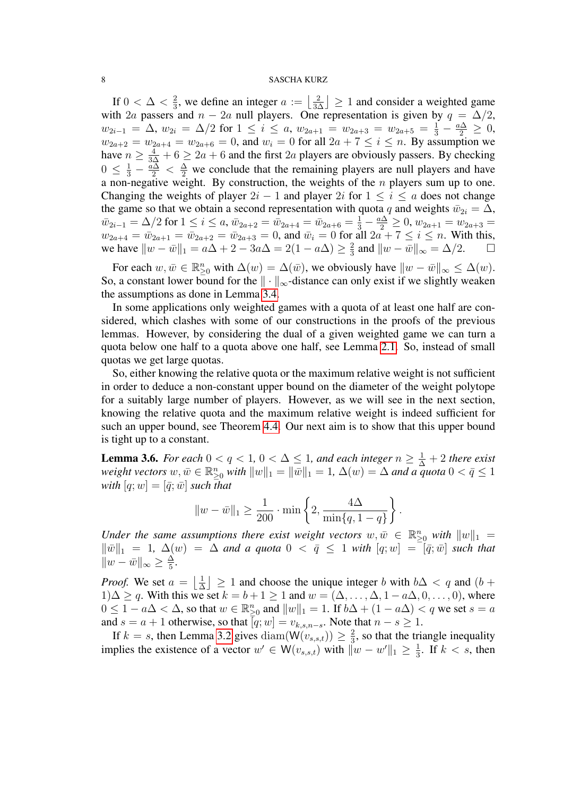If  $0 < \Delta < \frac{2}{3}$  $\frac{2}{3}$ , we define an integer  $a := \left\lfloor \frac{2}{3\Delta} \right\rfloor \geq 1$  and consider a weighted game with 2a passers and  $n - 2a$  null players. One representation is given by  $q = \Delta/2$ ,  $w_{2i-1} = \Delta$ ,  $w_{2i} = \Delta/2$  for  $1 \leq i \leq a$ ,  $w_{2a+1} = w_{2a+3} = w_{2a+5} = \frac{1}{3} - \frac{a\Delta}{2} \geq 0$ ,  $w_{2a+2} = w_{2a+4} = w_{2a+6} = 0$ , and  $w_i = 0$  for all  $2a + 7 \le i \le n$ . By assumption we have  $n \geq \frac{4}{3\Delta} + 6 \geq 2a + 6$  and the first  $2a$  players are obviously passers. By checking  $0 \leq \frac{1}{3} - \frac{a\Delta}{2} < \frac{\Delta}{2}$  we conclude that the remaining players are null players and have a non-negative weight. By construction, the weights of the  $n$  players sum up to one. Changing the weights of player  $2i - 1$  and player  $2i$  for  $1 \leq i \leq a$  does not change the game so that we obtain a second representation with quota q and weights  $\bar{w}_{2i} = \Delta$ ,  $\bar{w}_{2i-1} = \Delta/2$  for  $1 \leq i \leq a$ ,  $\bar{w}_{2a+2} = \bar{w}_{2a+4} = \bar{w}_{2a+6} = \frac{1}{3} - \frac{a\Delta}{2} \geq 0$ ,  $w_{2a+1} = w_{2a+3} =$  $w_{2a+4} = \bar{w}_{2a+1} = \bar{w}_{2a+2} = \bar{w}_{2a+3} = 0$ , and  $\bar{w}_i = 0$  for all  $2a + 7 \le i \le n$ . With this, we have  $||w - \bar{w}||_1 = a\Delta + 2 - 3a\Delta = 2(1 - a\Delta) \ge \frac{2}{3}$  $\frac{2}{3}$  and  $||w - \bar{w}||_{\infty} = \Delta/2$ .  $\Box$ 

For each  $w, \bar{w} \in \mathbb{R}_{\geq 0}^n$  with  $\Delta(w) = \Delta(\bar{w})$ , we obviously have  $\|w - \bar{w}\|_{\infty} \leq \Delta(w)$ . So, a constant lower bound for the  $\|\cdot\|_{\infty}$ -distance can only exist if we slightly weaken the assumptions as done in Lemma [3.4.](#page-6-0)

In some applications only weighted games with a quota of at least one half are considered, which clashes with some of our constructions in the proofs of the previous lemmas. However, by considering the dual of a given weighted game we can turn a quota below one half to a quota above one half, see Lemma [2.1.](#page-2-1) So, instead of small quotas we get large quotas.

So, either knowing the relative quota or the maximum relative weight is not sufficient in order to deduce a non-constant upper bound on the diameter of the weight polytope for a suitably large number of players. However, as we will see in the next section, knowing the relative quota and the maximum relative weight is indeed sufficient for such an upper bound, see Theorem [4.4.](#page-9-0) Our next aim is to show that this upper bound is tight up to a constant.

<span id="page-7-0"></span>**Lemma 3.6.** *For each*  $0 < q < 1, 0 < \Delta \leq 1$ , and each integer  $n \geq \frac{1}{\Delta} + 2$  there exist *weight vectors*  $w, \bar{w} \in \mathbb{R}_{\geq 0}^n$  *with*  $||w||_1 = ||\bar{w}||_1 = 1$ ,  $\Delta(w) = \Delta$  *and a quota*  $0 < \bar{q} \leq 1$ *with*  $[q; w] = [\bar{q}; \bar{w}]$  *such that* 

$$
||w - \bar{w}||_1 \ge \frac{1}{200} \cdot \min\left\{2, \frac{4\Delta}{\min\{q, 1-q\}}\right\}.
$$

*Under the same assumptions there exist weight vectors*  $w, \bar{w} \in \mathbb{R}_{\geq 0}^n$  with  $||w||_1 =$  $\|\bar{w}\|_1 = 1$ ,  $\Delta(w) = \Delta$  *and a quota*  $0 < \bar{q} \leq 1$  *with*  $[q;w] = [\bar{q}; \bar{w}]$  *such that*  $||w - \bar{w}||_{\infty} \geq \frac{\Delta}{5}$  $\frac{\Delta}{5}$ .

*Proof.* We set  $a = \frac{1}{\lambda}$  $\frac{1}{\Delta}$  > 1 and choose the unique integer b with  $b\Delta < q$  and  $(b +$  $1)\Delta \geq q$ . With this we set  $k = b + 1 \geq 1$  and  $w = (\Delta, \ldots, \Delta, 1 - a\Delta, 0, \ldots, 0)$ , where  $0 \leq 1 - a\Delta < \Delta$ , so that  $w \in \mathbb{R}_{\geq 0}^n$  and  $||w||_1 = 1$ . If  $b\Delta + (1 - a\Delta) < q$  we set  $s = a$ and  $s = a + 1$  otherwise, so that  $[q; w] = v_{k,s,n-s}$ . Note that  $n - s \ge 1$ .

If  $k = s$ , then Lemma [3.2](#page-5-0) gives diam( $W(v_{s,s,t}) \geq \frac{2}{3}$  $\frac{2}{3}$ , so that the triangle inequality implies the existence of a vector  $w' \in W(v_{s,s,t})$  with  $||w - w'||_1 \geq \frac{1}{3}$  $\frac{1}{3}$ . If  $k < s$ , then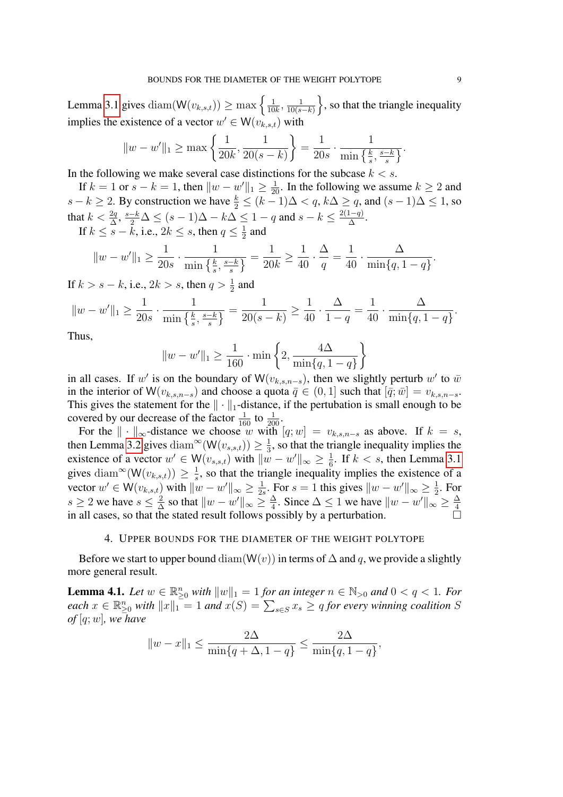Lemma [3.1](#page-4-1) gives diam $(\mathsf{W}(v_{k,s,t})) \geq \max \left\{ \frac{1}{10} \right\}$  $\frac{1}{10k}, \frac{1}{10(s)}$  $\frac{1}{10(s-k)}\bigg\}$ , so that the triangle inequality implies the existence of a vector  $w' \in W(v_{k,s,t})$  with

$$
||w - w'||_1 \ge \max\left\{\frac{1}{20k}, \frac{1}{20(s-k)}\right\} = \frac{1}{20s} \cdot \frac{1}{\min\left\{\frac{k}{s}, \frac{s-k}{s}\right\}}.
$$

In the following we make several case distinctions for the subcase  $k < s$ .

If  $k = 1$  or  $s - k = 1$ , then  $||w - w'||_1 \ge \frac{1}{20}$ . In the following we assume  $k \ge 2$  and  $s - k \ge 2$ . By construction we have  $\frac{k}{2} \le (k - 1)\Delta < q$ ,  $k\Delta \ge q$ , and  $(s - 1)\Delta \le 1$ , so that  $k < \frac{2q}{\Delta}, \frac{s-k}{2} \Delta \le (s-1)\Delta - k\Delta \le 1-q$  and  $s-k \le \frac{2(1-q)}{\Delta}$  $\frac{1-q)}{\Delta}$ .

If 
$$
k \le \overline{s} - \overline{k}
$$
, i.e.,  $2k \le s$ , then  $q \le \frac{1}{2}$  and

$$
||w - w'||_1 \ge \frac{1}{20s} \cdot \frac{1}{\min\left\{\frac{k}{s}, \frac{s-k}{s}\right\}} = \frac{1}{20k} \ge \frac{1}{40} \cdot \frac{\Delta}{q} = \frac{1}{40} \cdot \frac{\Delta}{\min\{q, 1-q\}}.
$$

If  $k > s - k$ , i.e.,  $2k > s$ , then  $q > \frac{1}{2}$  and

$$
||w - w'||_1 \ge \frac{1}{20s} \cdot \frac{1}{\min\left\{\frac{k}{s}, \frac{s-k}{s}\right\}} = \frac{1}{20(s-k)} \ge \frac{1}{40} \cdot \frac{\Delta}{1-q} = \frac{1}{40} \cdot \frac{\Delta}{\min\{q, 1-q\}}.
$$

Thus,

$$
||w - w'||_1 \ge \frac{1}{160} \cdot \min\left\{2, \frac{4\Delta}{\min\{q, 1-q\}}\right\}
$$

in all cases. If w' is on the boundary of W $(v_{k,s,n-s})$ , then we slightly perturb w' to  $\bar{w}$ in the interior of W( $v_{k,s,n-s}$ ) and choose a quota  $\bar{q} \in (0,1]$  such that  $[\bar{q}; \bar{w}] = v_{k,s,n-s}$ . This gives the statement for the  $\|\cdot\|_1$ -distance, if the pertubation is small enough to be covered by our decrease of the factor  $\frac{1}{160}$  to  $\frac{1}{200}$ .

For the  $\|\cdot\|_{\infty}$ -distance we choose w with  $[q;w] = v_{k,s,n-s}$  as above. If  $k = s$ , then Lemma [3.2](#page-5-0) gives diam<sup>∞</sup>( $W(v_{s,s,t})$ ) ≥  $\frac{1}{3}$  $\frac{1}{3}$ , so that the triangle inequality implies the existence of a vector  $w' \in W(v_{s,s,t})$  with  $\|\tilde{w} - w'\|_{\infty} \geq \frac{1}{6}$  $\frac{1}{6}$ . If  $k < s$ , then Lemma [3.1](#page-4-1) gives diam<sup>∞</sup>(W( $v_{k,s,t}$ )) ≥  $\frac{1}{s}$  $\frac{1}{s}$ , so that the triangle inequality implies the existence of a vector  $w' \in W(v_{k,s,t})$  with  $\|w - w'\|_{\infty} \geq \frac{1}{2s}$  $\frac{1}{2s}$ . For  $s = 1$  this gives  $||w - w'||_{\infty} \ge \frac{1}{2}$  $\frac{1}{2}$ . For  $s \geq 2$  we have  $s \leq \frac{2}{\Delta}$  $\frac{2}{\Delta}$  so that  $||w - w'||_{\infty} \ge \frac{\Delta}{4}$  $\frac{\Delta}{4}$ . Since  $\Delta \leq 1$  we have  $||w - w'||_{\infty} \geq \frac{\Delta}{4}$ 4 in all cases, so that the stated result follows possibly by a perturbation.

## 4. UPPER BOUNDS FOR THE DIAMETER OF THE WEIGHT POLYTOPE

<span id="page-8-0"></span>Before we start to upper bound diam( $W(v)$ ) in terms of  $\Delta$  and q, we provide a slightly more general result.

<span id="page-8-1"></span>**Lemma 4.1.** Let  $w \in \mathbb{R}_{\geq 0}^n$  with  $||w||_1 = 1$  for an integer  $n \in \mathbb{N}_{>0}$  and  $0 < q < 1$ . For  $\textit{each } x \in \mathbb{R}_{\geq 0}^n \textit{ with } ||x||_1 = 1 \textit{ and } x(S) = \sum_{s \in S} x_s \geq q \textit{ for every winning coalition } S$ *of* [q;w]*, we have*

$$
||w - x||_1 \le \frac{2\Delta}{\min\{q + \Delta, 1 - q\}} \le \frac{2\Delta}{\min\{q, 1 - q\}},
$$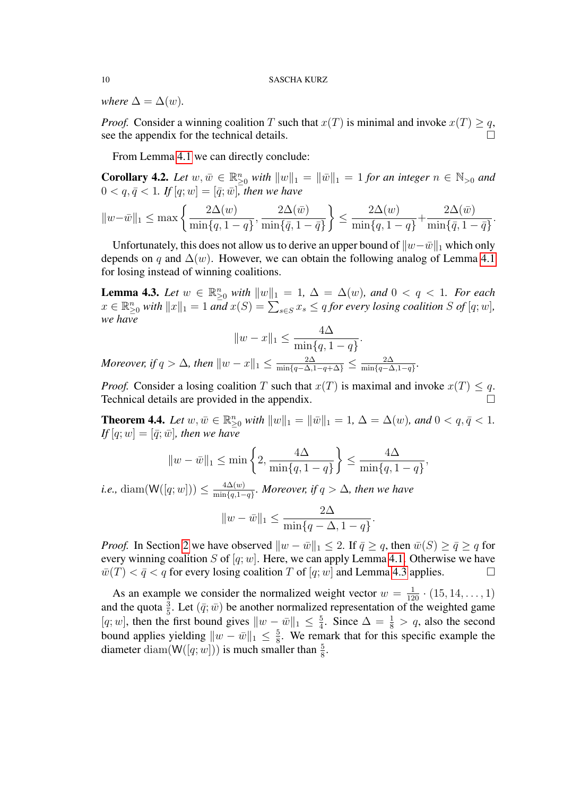*where*  $\Delta = \Delta(w)$ *.* 

*Proof.* Consider a winning coalition T such that  $x(T)$  is minimal and invoke  $x(T) \geq q$ , see the appendix for the technical details.

From Lemma [4.1](#page-8-1) we can directly conclude:

**Corollary 4.2.** Let  $w, \bar{w} \in \mathbb{R}_{\geq 0}^n$  with  $||w||_1 = ||\bar{w}||_1 = 1$  for an integer  $n \in \mathbb{N}_{>0}$  and  $0 < q, \bar{q} < 1$ *. If*  $[q; w] = [\bar{q}; \bar{w}]$ *, then we have* 

$$
||w-\bar{w}||_1 \le \max\left\{\frac{2\Delta(w)}{\min\{q, 1-q\}}, \frac{2\Delta(\bar{w})}{\min\{\bar{q}, 1-\bar{q}\}}\right\} \le \frac{2\Delta(w)}{\min\{q, 1-q\}} + \frac{2\Delta(\bar{w})}{\min\{\bar{q}, 1-\bar{q}\}}.
$$

Unfortunately, this does not allow us to derive an upper bound of  $||w-\bar{w}||_1$  which only depends on q and  $\Delta(w)$ . However, we can obtain the following analog of Lemma [4.1](#page-8-1) for losing instead of winning coalitions.

<span id="page-9-1"></span>**Lemma 4.3.** Let  $w \in \mathbb{R}_{\geq 0}^n$  with  $||w||_1 = 1$ ,  $\Delta = \Delta(w)$ , and  $0 < q < 1$ . For each  $x \in \mathbb{R}_{\geq 0}^n$  with  $||x||_1 = 1$  and  $x(S) = \sum_{s \in S} x_s \leq q$  for every losing coalition S of  $[q;w]$ , *we have*

$$
||w - x||_1 \le \frac{4\Delta}{\min\{q, 1-q\}}.
$$
  
Moreover, if  $q > \Delta$ , then  $||w - x||_1 \le \frac{2\Delta}{\min\{q-\Delta, 1-q+\Delta\}} \le \frac{2\Delta}{\min\{q-\Delta, 1-q\}}.$ 

*Proof.* Consider a losing coalition T such that  $x(T)$  is maximal and invoke  $x(T) \leq q$ . Technical details are provided in the appendix.

<span id="page-9-0"></span>**Theorem 4.4.** Let  $w, \bar{w} \in \mathbb{R}_{\geq 0}^n$  with  $||w||_1 = ||\bar{w}||_1 = 1$ ,  $\Delta = \Delta(w)$ *, and*  $0 < q, \bar{q} < 1$ *. If*  $[q; w] = [\bar{q}; \bar{w}]$ *, then we have* 

$$
||w - \bar{w}||_1 \le \min\left\{2, \frac{4\Delta}{\min\{q, 1-q\}}\right\} \le \frac{4\Delta}{\min\{q, 1-q\}}
$$

,

.

*i.e.*, diam( $W([q; w])) \leq \frac{4\Delta(w)}{\min\{q, 1\}}$  $\frac{4\Delta(w)}{\min\{q,1-q\}}$ *. Moreover, if*  $q > \Delta$ *, then we have* 

$$
||w - \bar{w}||_1 \le \frac{2\Delta}{\min\{q - \Delta, 1 - q\}}
$$

*Proof.* In Section [2](#page-1-0) we have observed  $||w - \bar{w}||_1 \leq 2$ . If  $\bar{q} \geq q$ , then  $\bar{w}(S) \geq \bar{q} \geq q$  for every winning coalition S of  $[q; w]$ . Here, we can apply Lemma [4.1.](#page-8-1) Otherwise we have  $\overline{w}(T) < \overline{q} < q$  for every losing coalition T of  $[q; w]$  and Lemma [4.3](#page-9-1) applies.

As an example we consider the normalized weight vector  $w = \frac{1}{120} \cdot (15, 14, \dots, 1)$ and the quota  $\frac{3}{5}$ . Let  $(\bar{q}; \bar{w})$  be another normalized representation of the weighted game [q; w], then the first bound gives  $||w - \bar{w}||_1 \leq \frac{5}{4}$  $\frac{5}{4}$ . Since  $\Delta = \frac{1}{8} > q$ , also the second bound applies yielding  $||w - \bar{w}||_1 \leq \frac{5}{8}$  $\frac{5}{8}$ . We remark that for this specific example the diameter diam( $W([q; w]))$  is much smaller than  $\frac{5}{8}$ .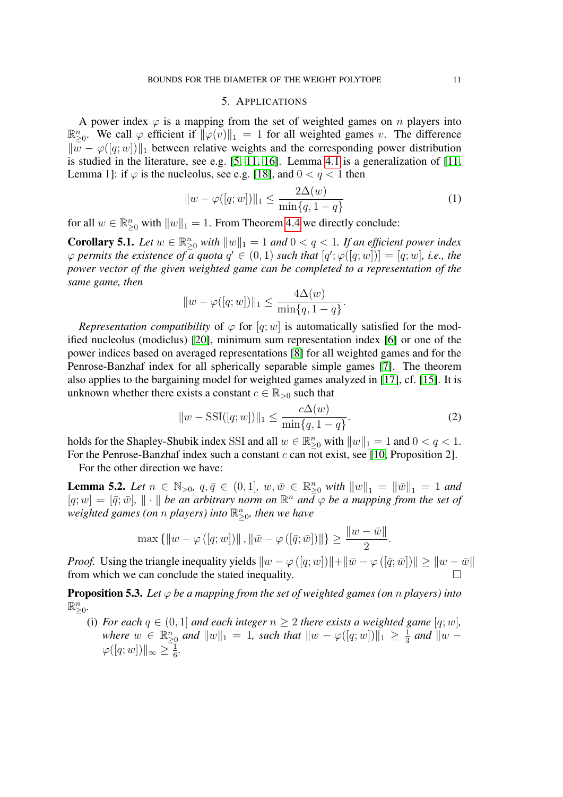## 5. APPLICATIONS

<span id="page-10-0"></span>A power index  $\varphi$  is a mapping from the set of weighted games on n players into  $\mathbb{R}^n_{\geq 0}$ . We call  $\varphi$  efficient if  $\|\varphi(v)\|_1 = 1$  for all weighted games v. The difference  $\|w - \varphi([q;w])\|_1$  between relative weights and the corresponding power distribution is studied in the literature, see e.g. [\[5,](#page-14-5) [11,](#page-14-6) [16\]](#page-15-6). Lemma [4.1](#page-8-1) is a generalization of [\[11,](#page-14-6) Lemma 1]: if  $\varphi$  is the nucleolus, see e.g. [\[18\]](#page-15-3), and  $0 < q < 1$  then

<span id="page-10-2"></span>
$$
||w - \varphi([q; w])||_1 \le \frac{2\Delta(w)}{\min\{q, 1 - q\}}\tag{1}
$$

for all  $w \in \mathbb{R}_{\geq 0}^n$  with  $||w||_1 = 1$ . From Theorem [4.4](#page-9-0) we directly conclude:

<span id="page-10-4"></span>**Corollary 5.1.** Let  $w \in \mathbb{R}_{\geq 0}^n$  with  $||w||_1 = 1$  and  $0 < q < 1$ . If an efficient power index  $\varphi$  permits the existence of a quota  $q' \in (0,1)$  such that  $[q';\varphi([q;w])] = [q;w]$ , i.e., the *power vector of the given weighted game can be completed to a representation of the same game, then*

$$
||w - \varphi([q; w])||_1 \le \frac{4\Delta(w)}{\min\{q, 1-q\}}.
$$

*Representation compatibility* of  $\varphi$  for  $[q; w]$  is automatically satisfied for the modified nucleolus (modiclus) [\[20\]](#page-15-7), minimum sum representation index [\[6\]](#page-14-7) or one of the power indices based on averaged representations [\[8\]](#page-14-8) for all weighted games and for the Penrose-Banzhaf index for all spherically separable simple games [\[7\]](#page-14-9). The theorem also applies to the bargaining model for weighted games analyzed in [\[17\]](#page-15-8), cf. [\[15\]](#page-15-9). It is unknown whether there exists a constant  $c \in \mathbb{R}_{>0}$  such that

<span id="page-10-3"></span>
$$
||w - \mathrm{SSI}([q; w])||_1 \le \frac{c\Delta(w)}{\min\{q, 1-q\}}.\tag{2}
$$

holds for the Shapley-Shubik index SSI and all  $w \in \mathbb{R}_{\geq 0}^n$  with  $||w||_1 = 1$  and  $0 < q < 1$ . For the Penrose-Banzhaf index such a constant c can not exist, see [\[10,](#page-14-10) Proposition 2].

For the other direction we have:

<span id="page-10-1"></span>**Lemma 5.2.** Let  $n \in \mathbb{N}_{>0}$ ,  $q, \bar{q} \in (0, 1]$ ,  $w, \bar{w} \in \mathbb{R}_{\geq 0}^n$  with  $||w||_1 = ||\bar{w}||_1 = 1$  and  $[q; w] = [\bar{q}; \bar{w}]$ ,  $\|\cdot\|$  *be an arbitrary norm on*  $\mathbb{R}^n$  *and*  $\varphi$  *be a mapping from the set of*  $\overline{\text{w}e}$  *ighted games (on n players) into*  $\mathbb{R}^n_{\geq 0}$ , then we have

$$
\max \{ ||w - \varphi([q; w])||, ||\bar{w} - \varphi([\bar{q}; \bar{w}])|| \} \ge \frac{||w - \bar{w}||}{2}.
$$

*Proof.* Using the triangle inequality yields  $||w - \varphi([q; w])|| + ||\bar{w} - \varphi([\bar{q}; \bar{w}])|| \ge ||w - \bar{w}||$ from which we can conclude the stated inequality.

**Proposition 5.3.** Let  $\varphi$  *be a mapping from the set of weighted games (on n players) into*  $\mathbb{R}^n_{\geq 0}$ .

(i) *For each*  $q \in (0, 1]$  *and each integer*  $n \geq 2$  *there exists a weighted game* [q; w], *where*  $w \in \mathbb{R}_{\geq 0}^n$  *and*  $||w||_1 = 1$ *, such that*  $||w - \varphi([q; w])||_1 \geq \frac{1}{3}$  $rac{1}{3}$  and  $\|w \varphi([q;w])$ || $\infty \geq \frac{1}{6}$ 6 *.*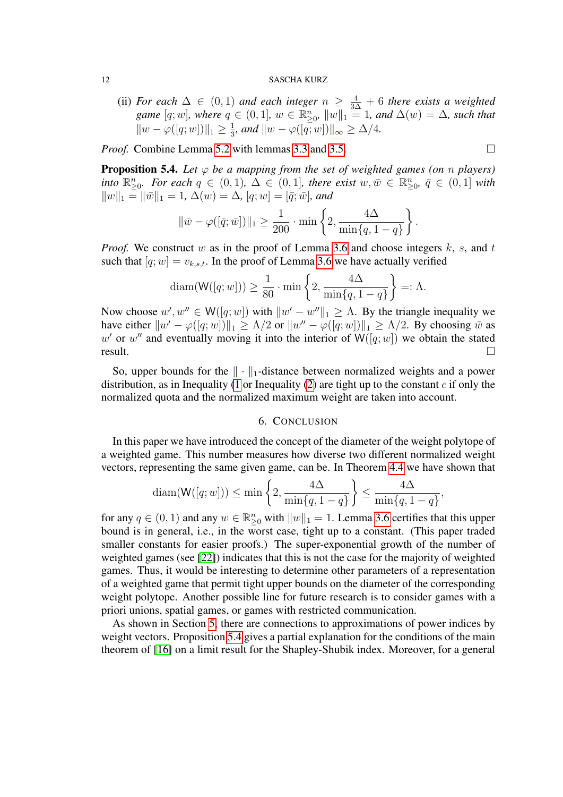(ii) *For each*  $\Delta$  ∈ (0, 1) *and each integer*  $n \geq \frac{4}{3\Delta} + 6$  *there exists a weighted game*  $[q; w]$ *, where*  $q \in (0, 1]$ *,*  $w \in \mathbb{R}_{\geq 0}^n$ ,  $||w||_1 = 1$ *, and*  $\Delta(w) = \Delta$ *, such that*  $||w - \varphi([q; w])||_1 \geq \frac{1}{3}$  $\frac{1}{3}$ *, and*  $\|w - \varphi([q;w])\|_{\infty} \ge \Delta/4$ *.* 

*Proof.* Combine Lemma [5.2](#page-10-1) with lemmas [3.3](#page-6-1) and [3.5.](#page-6-2)

<span id="page-11-1"></span>**Proposition 5.4.** Let  $\varphi$  be a mapping from the set of weighted games (on n players) *into*  $\mathbb{R}^n_{\geq 0}$ *. For each*  $q \in (0,1)$ *,*  $\Delta \in (0,1]$ *, there exist*  $w, \bar{w} \in \mathbb{R}^n_{\geq 0}$ *,*  $\bar{q} \in (0,1]$  *with*  $||w||_1 = ||\overline{w}||_1 = 1, \Delta(w) = \Delta, [q;w] = [\overline{q};\overline{w}]$ *, and* 

$$
\|\bar{w} - \varphi([\bar{q}; \bar{w}])\|_1 \ge \frac{1}{200} \cdot \min\left\{2, \frac{4\Delta}{\min\{q, 1-q\}}\right\}.
$$

*Proof.* We construct w as in the proof of Lemma [3.6](#page-7-0) and choose integers  $k$ ,  $s$ , and  $t$ such that  $[q; w] = v_{k,s,t}$ . In the proof of Lemma [3.6](#page-7-0) we have actually verified

$$
diam(W([q; w])) \ge \frac{1}{80} \cdot min\left\{2, \frac{4\Delta}{min\{q, 1-q\}}\right\} =: \Lambda.
$$

Now choose  $w', w'' \in W([q; w])$  with  $||w' - w''||_1 \geq \Lambda$ . By the triangle inequality we have either  $||w' - \varphi([q; w])||_1 \ge \Lambda/2$  or  $||w'' - \varphi([q; w])||_1 \ge \Lambda/2$ . By choosing  $\bar{w}$  as w' or w" and eventually moving it into the interior of  $W([q; w])$  we obtain the stated  $result.$ 

So, upper bounds for the  $\|\cdot\|_1$ -distance between normalized weights and a power distribution, as in Inequality [\(1](#page-10-2) or Inequality [\(2\)](#page-10-3) are tight up to the constant  $c$  if only the normalized quota and the normalized maximum weight are taken into account.

# 6. CONCLUSION

<span id="page-11-0"></span>In this paper we have introduced the concept of the diameter of the weight polytope of a weighted game. This number measures how diverse two different normalized weight vectors, representing the same given game, can be. In Theorem [4.4](#page-9-0) we have shown that

$$
\text{diam}(\mathsf{W}([q;w])) \le \min\left\{2, \frac{4\Delta}{\min\{q, 1-q\}}\right\} \le \frac{4\Delta}{\min\{q, 1-q\}},
$$

for any  $q \in (0, 1)$  and any  $w \in \mathbb{R}_{\geq 0}^n$  with  $||w||_1 = 1$ . Lemma [3.6](#page-7-0) certifies that this upper bound is in general, i.e., in the worst case, tight up to a constant. (This paper traded smaller constants for easier proofs.) The super-exponential growth of the number of weighted games (see [\[22\]](#page-15-10)) indicates that this is not the case for the majority of weighted games. Thus, it would be interesting to determine other parameters of a representation of a weighted game that permit tight upper bounds on the diameter of the corresponding weight polytope. Another possible line for future research is to consider games with a priori unions, spatial games, or games with restricted communication.

As shown in Section [5,](#page-10-0) there are connections to approximations of power indices by weight vectors. Proposition [5.4](#page-11-1) gives a partial explanation for the conditions of the main theorem of [\[16\]](#page-15-6) on a limit result for the Shapley-Shubik index. Moreover, for a general

$$
\Box
$$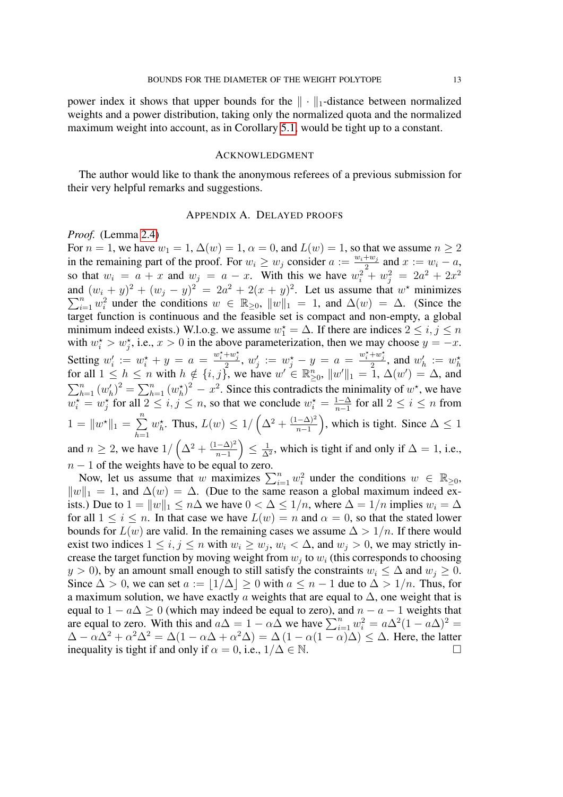power index it shows that upper bounds for the  $\|\cdot\|_1$ -distance between normalized weights and a power distribution, taking only the normalized quota and the normalized maximum weight into account, as in Corollary [5.1,](#page-10-4) would be tight up to a constant.

## **ACKNOWLEDGMENT**

The author would like to thank the anonymous referees of a previous submission for their very helpful remarks and suggestions.

# APPENDIX A. DELAYED PROOFS

# *Proof.* (Lemma [2.4\)](#page-4-2)

For  $n = 1$ , we have  $w_1 = 1$ ,  $\Delta(w) = 1$ ,  $\alpha = 0$ , and  $L(w) = 1$ , so that we assume  $n \ge 2$ in the remaining part of the proof. For  $w_i \geq w_j$  consider  $a := \frac{w_i + w_j}{2}$  $\frac{+w_j}{2}$  and  $x := w_i - a$ , so that  $w_i = a + x$  and  $w_j = a - x$ . With this we have  $w_i^2 + w_j^2 = 2a^2 + 2x^2$ and  $(w_i + y)^2 + (w_j - y)^2 = 2a^2 + 2(x + y)^2$ . Let us assume that w  $\sum$ d  $(w_i + y)^2 + (w_j - y)^2 = 2a^2 + 2(x + y)^2$ . Let us assume that  $w^*$  minimizes  $\frac{n}{i=1} w_i^2$  under the conditions  $w \in \mathbb{R}_{\geq 0}$ ,  $||w||_1 = 1$ , and  $\Delta(w) = \Delta$ . (Since the target function is continuous and the feasible set is compact and non-empty, a global minimum indeed exists.) W.l.o.g. we assume  $w_1^* = \Delta$ . If there are indices  $2 \le i, j \le n$ with  $w_i^* > w_j^*$ , i.e.,  $x > 0$  in the above parameterization, then we may choose  $y = -x$ . Setting  $w'_i := w_i^* + y = a = \frac{w_i^* + w_j^*}{2}$ ,  $w'_j := w_j^* - y = a = \frac{w_i^* + w_j^*}{2}$ , and  $w'_h := w_h^*$ for all  $1 \leq h \leq n$  with  $h \notin \{i, j\}$ , we have  $w' \in \mathbb{R}_{\geq 0}^n$ ,  $||w'||_1 = 1$ ,  $\Delta(w') = \Delta$ , and  $\sum_{h=1}^{n} (w'_h)^2 = \sum_{h=1}^{n} (w_h^*)^2 - x^2$ . Since this contradicts the minimality of  $w^*$ , we have  $w_i^* = w_j^*$  for all  $2 \leq i, j \leq n$ , so that we conclude  $w_i^* = \frac{1-\Delta}{n-1}$  $\frac{1-\Delta}{n-1}$  for all 2 ≤ *i* ≤ *n* from  $1 = \|w^*\|_1 = \sum^n$  $h=1$  $w_h^{\star}$ . Thus,  $L(w) \leq 1/\left(\Delta^2 + \frac{(1-\Delta)^2}{n-1}\right)$  $\frac{(n-\Delta)^2}{n-1}$ , which is tight. Since  $\Delta \leq 1$ and  $n \geq 2$ , we have  $1/\left(\Delta^2 + \frac{(1-\Delta)^2}{n-1}\right)$  $\frac{(-\Delta)^2}{n-1}\Big)\leq\frac{1}{\Delta}$  $\frac{1}{\Delta^2}$ , which is tight if and only if  $\Delta = 1$ , i.e.,  $n - 1$  of the weights have to be equal to zero.

Now, let us assume that w maximizes  $\sum_{i=1}^{n} w_i^2$  under the conditions  $w \in \mathbb{R}_{\geq 0}$ ,  $||w||_1 = 1$ , and  $\Delta(w) = \Delta$ . (Due to the same reason a global maximum indeed exists.) Due to  $1 = ||w||_1 \le n\Delta$  we have  $0 < \Delta \le 1/n$ , where  $\Delta = 1/n$  implies  $w_i = \Delta$ for all  $1 \leq i \leq n$ . In that case we have  $L(w) = n$  and  $\alpha = 0$ , so that the stated lower bounds for  $L(w)$  are valid. In the remaining cases we assume  $\Delta > 1/n$ . If there would exist two indices  $1 \le i, j \le n$  with  $w_i \ge w_j, w_i < \Delta$ , and  $w_j > 0$ , we may strictly increase the target function by moving weight from  $w_j$  to  $w_i$  (this corresponds to choosing  $y > 0$ ), by an amount small enough to still satisfy the constraints  $w_i \leq \Delta$  and  $w_j \geq 0$ . Since  $\Delta > 0$ , we can set  $a := |1/\Delta| \ge 0$  with  $a \le n - 1$  due to  $\Delta > 1/n$ . Thus, for a maximum solution, we have exactly a weights that are equal to  $\Delta$ , one weight that is equal to  $1 - a\Delta \ge 0$  (which may indeed be equal to zero), and  $n - a - 1$  weights that are equal to zero. With this and  $a\Delta = 1 - \alpha \Delta$  we have  $\sum_{i=1}^{n} w_i^2 = a\Delta^2 (1 - a\Delta)^2 =$  $\Delta - \alpha \Delta^2 + \alpha^2 \Delta^2 = \Delta(1 - \alpha \Delta + \alpha^2 \Delta) = \Delta(1 - \alpha(1 - \alpha)\Delta) \leq \Delta$ . Here, the latter inequality is tight if and only if  $\alpha = 0$ , i.e.,  $1/\Delta \in \mathbb{N}$ .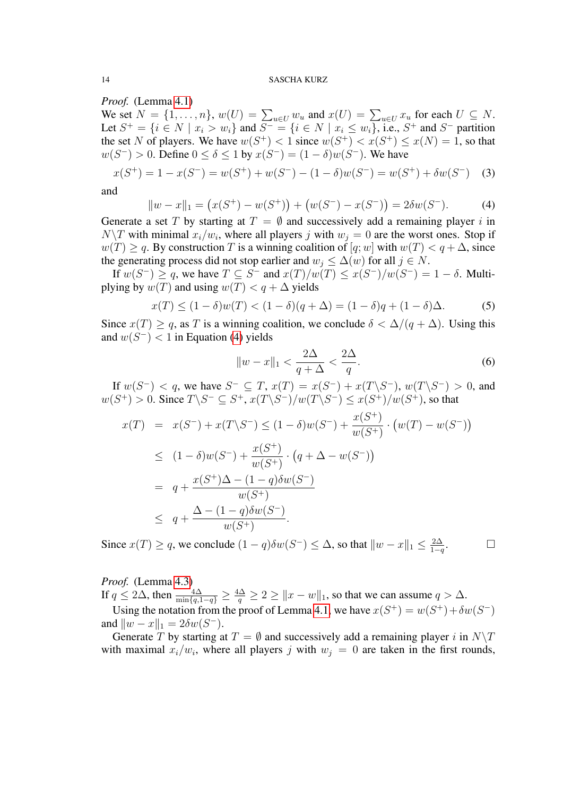*Proof.* (Lemma [4.1\)](#page-8-1)

We set  $N = \{1, \ldots, n\}$ ,  $w(U) = \sum_{u \in U} w_u$  and  $x(U) = \sum_{u \in U} x_u$  for each  $U \subseteq N$ . Let  $S^+ = \{i \in N \mid x_i > w_i\}$  and  $S^- = \{i \in N \mid x_i \leq w_i\}$ , i.e.,  $S^+$  and  $S^-$  partition the set N of players. We have  $w(S^+) < 1$  since  $w(S^+) < x(S^+) \le x(N) = 1$ , so that  $w(S^-) > 0$ . Define  $0 \le \delta \le 1$  by  $x(S^-) = (1 - \delta)w(S^-)$ . We have

$$
x(S^{+}) = 1 - x(S^{-}) = w(S^{+}) + w(S^{-}) - (1 - \delta)w(S^{-}) = w(S^{+}) + \delta w(S^{-})
$$
 (3)

and

<span id="page-13-0"></span>
$$
||w - x||_1 = (x(S^+) - w(S^+)) + (w(S^-) - x(S^-)) = 2\delta w(S^-). \tag{4}
$$

Generate a set T by starting at  $T = \emptyset$  and successively add a remaining player i in  $N\setminus T$  with minimal  $x_i/w_i$ , where all players j with  $w_j = 0$  are the worst ones. Stop if  $w(T) \ge q$ . By construction T is a winning coalition of  $[q;w]$  with  $w(T) < q + \Delta$ , since the generating process did not stop earlier and  $w_j \leq \Delta(w)$  for all  $j \in N$ .

If  $w(S^-) \ge q$ , we have  $T \subseteq S^-$  and  $x(T)/w(T) \le x(S^-)/w(S^-) = 1 - \delta$ . Multiplying by  $w(T)$  and using  $w(T) < q + \Delta$  yields

$$
x(T) \le (1 - \delta)w(T) < (1 - \delta)(q + \Delta) = (1 - \delta)q + (1 - \delta)\Delta. \tag{5}
$$

Since  $x(T) \geq q$ , as T is a winning coalition, we conclude  $\delta < \Delta/(q + \Delta)$ . Using this and  $w(S^{-}) < 1$  in Equation [\(4\)](#page-13-0) yields

$$
||w - x||_1 < \frac{2\Delta}{q + \Delta} < \frac{2\Delta}{q}.\tag{6}
$$

If  $w(S^-) < q$ , we have  $S^- \subseteq T$ ,  $x(T) = x(S^-) + x(T\backslash S^-)$ ,  $w(T\backslash S^-) > 0$ , and  $w(S^+) > 0$ . Since  $T \backslash S^- \subseteq S^+$ ,  $x(T \backslash S^-)/w(T \backslash S^-) \le x(S^+)/w(S^+)$ , so that

$$
x(T) = x(S^{-}) + x(T\setminus S^{-}) \le (1 - \delta)w(S^{-}) + \frac{x(S^{+})}{w(S^{+})} \cdot (w(T) - w(S^{-}))
$$
  
\n
$$
\le (1 - \delta)w(S^{-}) + \frac{x(S^{+})}{w(S^{+})} \cdot (q + \Delta - w(S^{-}))
$$
  
\n
$$
= q + \frac{x(S^{+})\Delta - (1 - q)\delta w(S^{-})}{w(S^{+})}
$$
  
\n
$$
\le q + \frac{\Delta - (1 - q)\delta w(S^{-})}{w(S^{+})}.
$$

Since  $x(T) \geq q$ , we conclude  $(1-q)\delta w(S^{-}) \leq \Delta$ , so that  $||w-x||_1 \leq \frac{2\Delta}{1-q}$  $1-q$  $\Box$ 

*Proof.* (Lemma [4.3\)](#page-9-1)

If  $q \le 2\Delta$ , then  $\frac{4\Delta}{\min\{q,1-q\}} \ge \frac{4\Delta}{q} \ge 2 \ge ||x-w||_1$ , so that we can assume  $q > \Delta$ .

Using the notation from the proof of Lemma [4.1,](#page-8-1) we have  $x(S^+) = w(S^+) + \delta w(S^-)$ and  $\|w - x\|_1 = 2\delta w(S^{-})$ .

Generate T by starting at  $T = \emptyset$  and successively add a remaining player i in  $N\setminus T$ with maximal  $x_i/w_i$ , where all players j with  $w_j = 0$  are taken in the first rounds,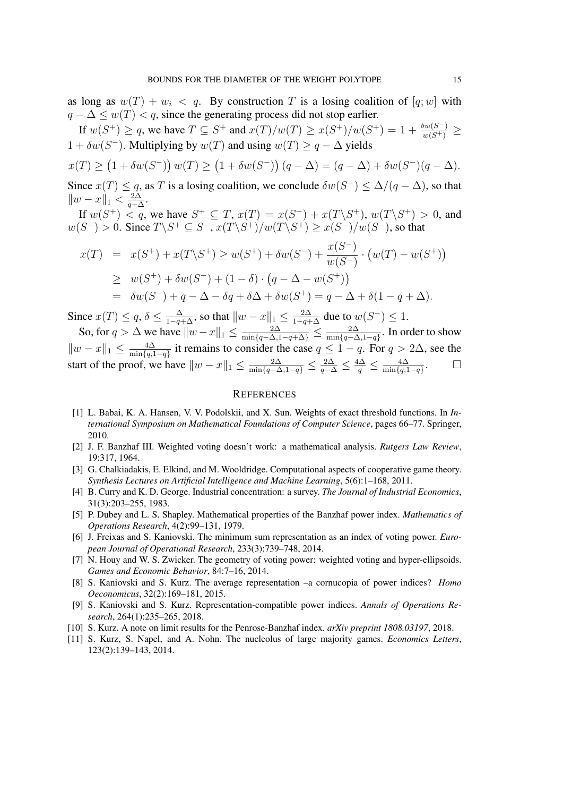as long as  $w(T) + w_i < q$ . By construction T is a losing coalition of  $[q;w]$  with  $q - \Delta \leq w(T) < q$ , since the generating process did not stop earlier.

If  $w(S^+) \ge q$ , we have  $T \subseteq S^+$  and  $x(T)/w(T) \ge x(S^+)/w(S^+) = 1 + \frac{\delta w(S^-)}{w(S^+)} \ge$  $1 + \delta w(S^-)$ . Multiplying by  $w(T)$  and using  $w(T) \geq q - \Delta$  yields

$$
x(T) \ge (1 + \delta w(S^-)) w(T) \ge (1 + \delta w(S^-)) (q - \Delta) = (q - \Delta) + \delta w(S^-) (q - \Delta).
$$
  
Since  $x(T) \le a$ , as T is a losing coefficient, we conclude  $\delta w(S^-) \le \Delta / (q - \Delta)$ , so that

Since  $x(T) \leq q$ , as T is a losing coalition, we conclude  $\delta w(S^{-}) \leq \Delta/(q - \Delta)$ , so that  $\|w - x\|_1 < \frac{2\Delta}{a - \Delta}$  $\frac{2\Delta}{q-\Delta}$ .

If  $w(S^+) \le q$ , we have  $S^+ \subseteq T$ ,  $x(T) = x(S^+) + x(T\backslash S^+)$ ,  $w(T\backslash S^+) > 0$ , and  $w(S^-) > 0$ . Since  $T \backslash S^+ \subseteq S^-$ ,  $x(T \backslash S^+) / w(T \backslash S^+) \geq x(S^-) / w(S^-)$ , so that

$$
x(T) = x(S^+) + x(T\backslash S^+) \ge w(S^+) + \delta w(S^-) + \frac{x(S^-)}{w(S^-)} \cdot (w(T) - w(S^+))
$$
  
\n
$$
\ge w(S^+) + \delta w(S^-) + (1 - \delta) \cdot (q - \Delta - w(S^+))
$$
  
\n
$$
= \delta w(S^-) + q - \Delta - \delta q + \delta \Delta + \delta w(S^+) = q - \Delta + \delta (1 - q + \Delta).
$$

Since  $x(T) \le q$ ,  $\delta \le \frac{\Delta}{1-q+\Delta}$ , so that  $||w-x||_1 \le \frac{2\Delta}{1-q+\Delta}$  due to  $w(S^-) \le 1$ .

So, for  $q > \Delta$  we have  $||w - x||_1 \le \frac{2\Delta}{\min\{q - \Delta, 1 - q + \Delta\}} \le \frac{2\Delta}{\min\{q - \Delta, 1 - q + \Delta\}}$  $\frac{2\Delta}{\min\{q-\Delta,1-q\}}$ . In order to show  $||w - x||_1 \leq \frac{4\Delta}{\min\{a\}}$  $\frac{4\Delta}{\min\{q,1-q\}}$  it remains to consider the case  $q \leq 1-q$ . For  $q > 2\Delta$ , see the start of the proof, we have  $||w - x||_1 \le \frac{2\Delta}{\min\{q-\Delta, 1-q\}} \le \frac{2\Delta}{q-\Delta} \le \frac{4\Delta}{q} \le \frac{4\Delta}{\min\{q, 1-q\}}$  $\min\{q,1-q\}$ . D

## **REFERENCES**

- <span id="page-14-2"></span>[1] L. Babai, K. A. Hansen, V. V. Podolskii, and X. Sun. Weights of exact threshold functions. In *International Symposium on Mathematical Foundations of Computer Science*, pages 66–77. Springer, 2010.
- <span id="page-14-0"></span>[2] J. F. Banzhaf III. Weighted voting doesn't work: a mathematical analysis. *Rutgers Law Review*, 19:317, 1964.
- <span id="page-14-1"></span>[3] G. Chalkiadakis, E. Elkind, and M. Wooldridge. Computational aspects of cooperative game theory. *Synthesis Lectures on Artificial Intelligence and Machine Learning*, 5(6):1–168, 2011.
- <span id="page-14-4"></span>[4] B. Curry and K. D. George. Industrial concentration: a survey. *The Journal of Industrial Economics*, 31(3):203–255, 1983.
- <span id="page-14-5"></span>[5] P. Dubey and L. S. Shapley. Mathematical properties of the Banzhaf power index. *Mathematics of Operations Research*, 4(2):99–131, 1979.
- <span id="page-14-7"></span>[6] J. Freixas and S. Kaniovski. The minimum sum representation as an index of voting power. *European Journal of Operational Research*, 233(3):739–748, 2014.
- <span id="page-14-9"></span>[7] N. Houy and W. S. Zwicker. The geometry of voting power: weighted voting and hyper-ellipsoids. *Games and Economic Behavior*, 84:7–16, 2014.
- <span id="page-14-8"></span>[8] S. Kaniovski and S. Kurz. The average representation –a cornucopia of power indices? *Homo Oeconomicus*, 32(2):169–181, 2015.
- <span id="page-14-3"></span>[9] S. Kaniovski and S. Kurz. Representation-compatible power indices. *Annals of Operations Research*, 264(1):235–265, 2018.
- <span id="page-14-10"></span>[10] S. Kurz. A note on limit results for the Penrose-Banzhaf index. *arXiv preprint 1808.03197*, 2018.
- <span id="page-14-6"></span>[11] S. Kurz, S. Napel, and A. Nohn. The nucleolus of large majority games. *Economics Letters*, 123(2):139–143, 2014.